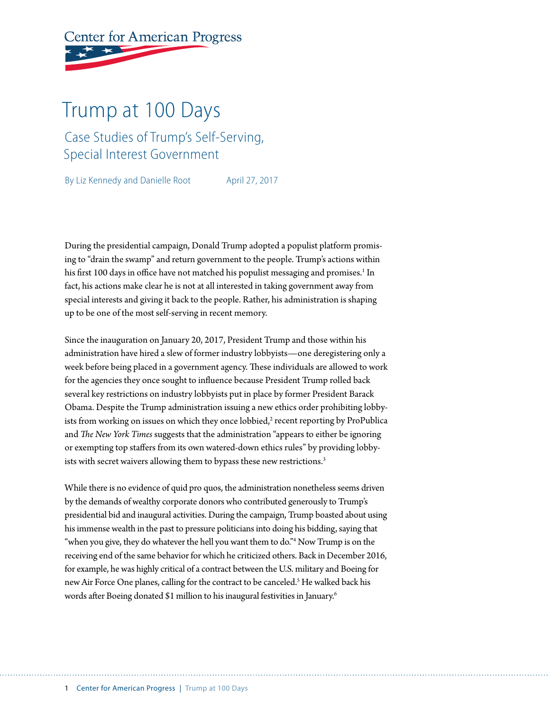# **Center for American Progress**

# Trump at 100 Days

### Case Studies of Trump's Self-Serving, Special Interest Government

By Liz Kennedy and Danielle Root April 27, 2017

During the presidential campaign, Donald Trump adopted a populist platform promising to "drain the swamp" and return government to the people. Trump's actions within his first 100 days in office have not matched his populist messaging and promises.<sup>1</sup> In fact, his actions make clear he is not at all interested in taking government away from special interests and giving it back to the people. Rather, his administration is shaping up to be one of the most self-serving in recent memory.

Since the inauguration on January 20, 2017, President Trump and those within his administration have hired a slew of former industry lobbyists—one deregistering only a week before being placed in a government agency. These individuals are allowed to work for the agencies they once sought to influence because President Trump rolled back several key restrictions on industry lobbyists put in place by former President Barack Obama. Despite the Trump administration issuing a new ethics order prohibiting lobbyists from working on issues on which they once lobbied, $2$  recent reporting by ProPublica and *The New York Times* suggests that the administration "appears to either be ignoring or exempting top staffers from its own watered-down ethics rules" by providing lobbyists with secret waivers allowing them to bypass these new restrictions.<sup>3</sup>

While there is no evidence of quid pro quos, the administration nonetheless seems driven by the demands of wealthy corporate donors who contributed generously to Trump's presidential bid and inaugural activities. During the campaign, Trump boasted about using his immense wealth in the past to pressure politicians into doing his bidding, saying that "when you give, they do whatever the hell you want them to do."4 Now Trump is on the receiving end of the same behavior for which he criticized others. Back in December 2016, for example, he was highly critical of a contract between the U.S. military and Boeing for new Air Force One planes, calling for the contract to be canceled.<sup>5</sup> He walked back his words after Boeing donated \$1 million to his inaugural festivities in January.6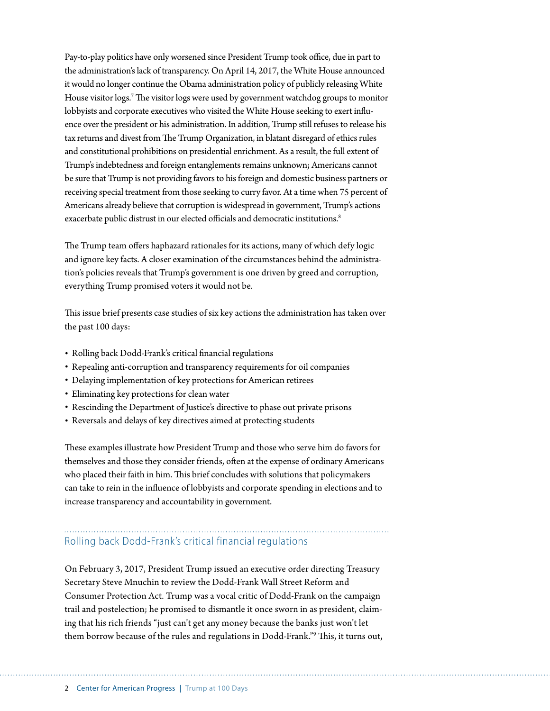Pay-to-play politics have only worsened since President Trump took office, due in part to the administration's lack of transparency. On April 14, 2017, the White House announced it would no longer continue the Obama administration policy of publicly releasing White House visitor logs.<sup>7</sup> The visitor logs were used by government watchdog groups to monitor lobbyists and corporate executives who visited the White House seeking to exert influence over the president or his administration. In addition, Trump still refuses to release his tax returns and divest from The Trump Organization, in blatant disregard of ethics rules and constitutional prohibitions on presidential enrichment. As a result, the full extent of Trump's indebtedness and foreign entanglements remains unknown; Americans cannot be sure that Trump is not providing favors to his foreign and domestic business partners or receiving special treatment from those seeking to curry favor. At a time when 75 percent of Americans already believe that corruption is widespread in government, Trump's actions exacerbate public distrust in our elected officials and democratic institutions.<sup>8</sup>

The Trump team offers haphazard rationales for its actions, many of which defy logic and ignore key facts. A closer examination of the circumstances behind the administration's policies reveals that Trump's government is one driven by greed and corruption, everything Trump promised voters it would not be.

This issue brief presents case studies of six key actions the administration has taken over the past 100 days:

- Rolling back Dodd-Frank's critical financial regulations
- Repealing anti-corruption and transparency requirements for oil companies
- Delaying implementation of key protections for American retirees
- Eliminating key protections for clean water
- Rescinding the Department of Justice's directive to phase out private prisons
- Reversals and delays of key directives aimed at protecting students

These examples illustrate how President Trump and those who serve him do favors for themselves and those they consider friends, often at the expense of ordinary Americans who placed their faith in him. This brief concludes with solutions that policymakers can take to rein in the influence of lobbyists and corporate spending in elections and to increase transparency and accountability in government.

#### Rolling back Dodd-Frank's critical financial regulations

On February 3, 2017, President Trump issued an executive order directing Treasury Secretary Steve Mnuchin to review the Dodd-Frank Wall Street Reform and Consumer Protection Act. Trump was a vocal critic of Dodd-Frank on the campaign trail and postelection; he promised to dismantle it once sworn in as president, claiming that his rich friends "just can't get any money because the banks just won't let them borrow because of the rules and regulations in Dodd-Frank."9 This, it turns out,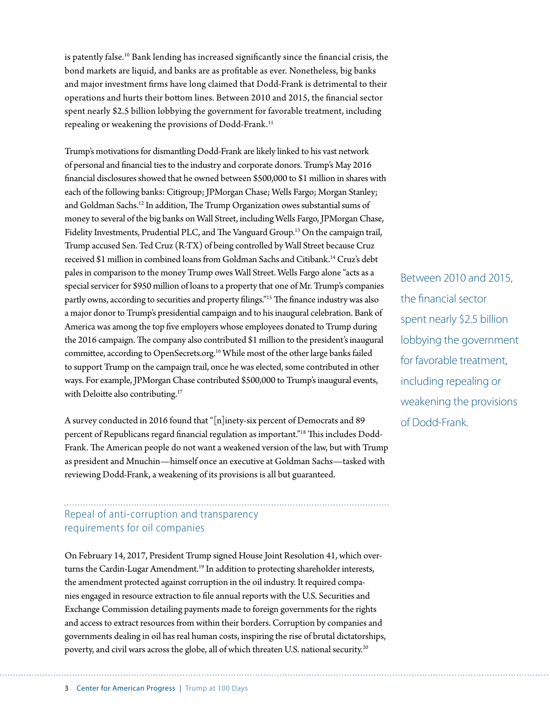is patently false.<sup>10</sup> Bank lending has increased significantly since the financial crisis, the bond markets are liquid, and banks are as profitable as ever. Nonetheless, big banks and major investment firms have long claimed that Dodd-Frank is detrimental to their operations and hurts their bottom lines. Between 2010 and 2015, the financial sector spent nearly \$2.5 billion lobbying the government for favorable treatment, including repealing or weakening the provisions of Dodd-Frank.<sup>11</sup>

Trump's motivations for dismantling Dodd-Frank are likely linked to his vast network of personal and financial ties to the industry and corporate donors. Trump's May 2016 financial disclosures showed that he owned between \$500,000 to \$1 million in shares with each of the following banks: Citigroup; JPMorgan Chase; Wells Fargo; Morgan Stanley; and Goldman Sachs.12 In addition, The Trump Organization owes substantial sums of money to several of the big banks on Wall Street, including Wells Fargo, JPMorgan Chase, Fidelity Investments, Prudential PLC, and The Vanguard Group.<sup>13</sup> On the campaign trail, Trump accused Sen. Ted Cruz (R-TX) of being controlled by Wall Street because Cruz received \$1 million in combined loans from Goldman Sachs and Citibank.14 Cruz's debt pales in comparison to the money Trump owes Wall Street. Wells Fargo alone "acts as a special servicer for \$950 million of loans to a property that one of Mr. Trump's companies partly owns, according to securities and property filings."15 The finance industry was also a major donor to Trump's presidential campaign and to his inaugural celebration. Bank of America was among the top five employers whose employees donated to Trump during the 2016 campaign. The company also contributed \$1 million to the president's inaugural committee, according to OpenSecrets.org.16 While most of the other large banks failed to support Trump on the campaign trail, once he was elected, some contributed in other ways. For example, JPMorgan Chase contributed \$500,000 to Trump's inaugural events, with Deloitte also contributing.<sup>17</sup>

A survey conducted in 2016 found that "[n]inety-six percent of Democrats and 89 percent of Republicans regard financial regulation as important."18 This includes Dodd-Frank. The American people do not want a weakened version of the law, but with Trump as president and Mnuchin—himself once an executive at Goldman Sachs—tasked with reviewing Dodd-Frank, a weakening of its provisions is all but guaranteed.

#### Repeal of anti-corruption and transparency requirements for oil companies

On February 14, 2017, President Trump signed House Joint Resolution 41, which overturns the Cardin-Lugar Amendment.<sup>19</sup> In addition to protecting shareholder interests, the amendment protected against corruption in the oil industry. It required companies engaged in resource extraction to file annual reports with the U.S. Securities and Exchange Commission detailing payments made to foreign governments for the rights and access to extract resources from within their borders. Corruption by companies and governments dealing in oil has real human costs, inspiring the rise of brutal dictatorships, poverty, and civil wars across the globe, all of which threaten U.S. national security.20

Between 2010 and 2015, the financial sector spent nearly \$2.5 billion lobbying the government for favorable treatment, including repealing or weakening the provisions of Dodd-Frank.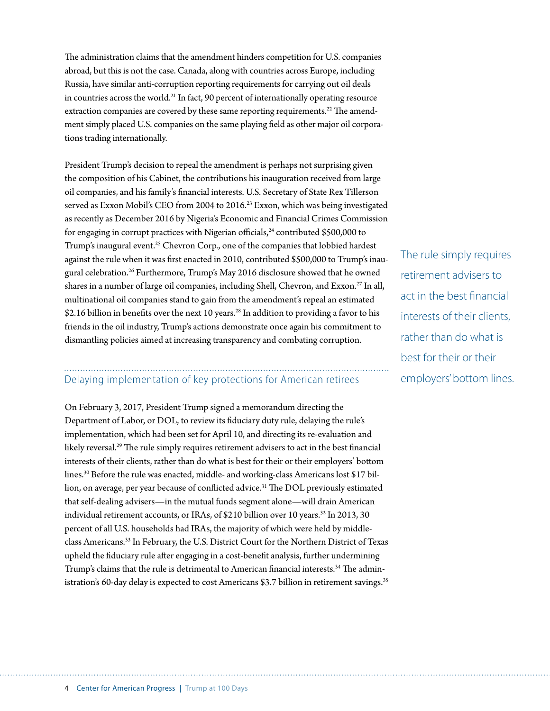The administration claims that the amendment hinders competition for U.S. companies abroad, but this is not the case. Canada, along with countries across Europe, including Russia, have similar anti-corruption reporting requirements for carrying out oil deals in countries across the world.<sup>21</sup> In fact, 90 percent of internationally operating resource extraction companies are covered by these same reporting requirements.<sup>22</sup> The amendment simply placed U.S. companies on the same playing field as other major oil corporations trading internationally.

President Trump's decision to repeal the amendment is perhaps not surprising given the composition of his Cabinet, the contributions his inauguration received from large oil companies, and his family's financial interests. U.S. Secretary of State Rex Tillerson served as Exxon Mobil's CEO from 2004 to 2016.<sup>23</sup> Exxon, which was being investigated as recently as December 2016 by Nigeria's Economic and Financial Crimes Commission for engaging in corrupt practices with Nigerian officials, $24$  contributed \$500,000 to Trump's inaugural event.<sup>25</sup> Chevron Corp., one of the companies that lobbied hardest against the rule when it was first enacted in 2010, contributed \$500,000 to Trump's inaugural celebration.26 Furthermore, Trump's May 2016 disclosure showed that he owned shares in a number of large oil companies, including Shell, Chevron, and Exxon.<sup>27</sup> In all, multinational oil companies stand to gain from the amendment's repeal an estimated \$2.16 billion in benefits over the next 10 years.<sup>28</sup> In addition to providing a favor to his friends in the oil industry, Trump's actions demonstrate once again his commitment to dismantling policies aimed at increasing transparency and combating corruption.

### Delaying implementation of key protections for American retirees

On February 3, 2017, President Trump signed a memorandum directing the Department of Labor, or DOL, to review its fiduciary duty rule, delaying the rule's implementation, which had been set for April 10, and directing its re-evaluation and likely reversal.<sup>29</sup> The rule simply requires retirement advisers to act in the best financial interests of their clients, rather than do what is best for their or their employers' bottom lines.<sup>30</sup> Before the rule was enacted, middle- and working-class Americans lost \$17 billion, on average, per year because of conflicted advice.<sup>31</sup> The DOL previously estimated that self-dealing advisers—in the mutual funds segment alone—will drain American individual retirement accounts, or IRAs, of \$210 billion over 10 years.<sup>32</sup> In 2013, 30 percent of all U.S. households had IRAs, the majority of which were held by middleclass Americans.33 In February, the U.S. District Court for the Northern District of Texas upheld the fiduciary rule after engaging in a cost-benefit analysis, further undermining Trump's claims that the rule is detrimental to American financial interests.<sup>34</sup> The administration's 60-day delay is expected to cost Americans \$3.7 billion in retirement savings.<sup>35</sup>

The rule simply requires retirement advisers to act in the best financial interests of their clients, rather than do what is best for their or their employers' bottom lines.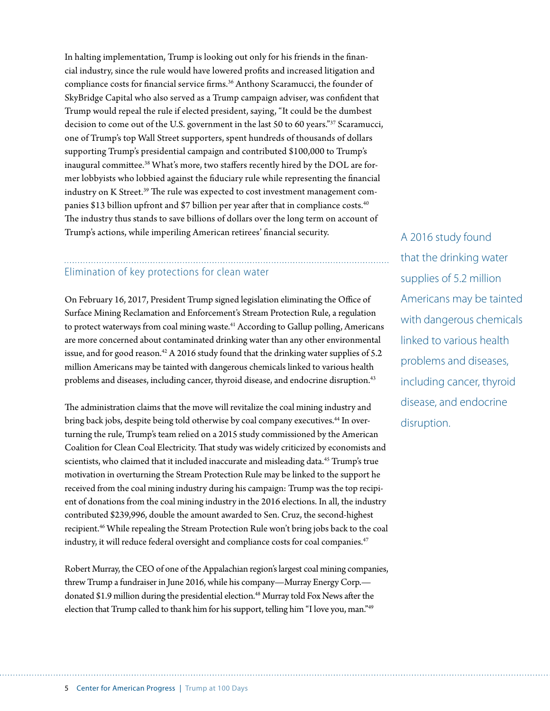In halting implementation, Trump is looking out only for his friends in the financial industry, since the rule would have lowered profits and increased litigation and compliance costs for financial service firms.<sup>36</sup> Anthony Scaramucci, the founder of SkyBridge Capital who also served as a Trump campaign adviser, was confident that Trump would repeal the rule if elected president, saying, "It could be the dumbest decision to come out of the U.S. government in the last 50 to 60 years."37 Scaramucci, one of Trump's top Wall Street supporters, spent hundreds of thousands of dollars supporting Trump's presidential campaign and contributed \$100,000 to Trump's inaugural committee.<sup>38</sup> What's more, two staffers recently hired by the DOL are former lobbyists who lobbied against the fiduciary rule while representing the financial industry on K Street.<sup>39</sup> The rule was expected to cost investment management companies \$13 billion upfront and \$7 billion per year after that in compliance costs.40 The industry thus stands to save billions of dollars over the long term on account of Trump's actions, while imperiling American retirees' financial security.

#### Elimination of key protections for clean water

On February 16, 2017, President Trump signed legislation eliminating the Office of Surface Mining Reclamation and Enforcement's Stream Protection Rule, a regulation to protect waterways from coal mining waste.<sup>41</sup> According to Gallup polling, Americans are more concerned about contaminated drinking water than any other environmental issue, and for good reason.<sup>42</sup> A 2016 study found that the drinking water supplies of 5.2 million Americans may be tainted with dangerous chemicals linked to various health problems and diseases, including cancer, thyroid disease, and endocrine disruption.<sup>43</sup>

The administration claims that the move will revitalize the coal mining industry and bring back jobs, despite being told otherwise by coal company executives.<sup>44</sup> In overturning the rule, Trump's team relied on a 2015 study commissioned by the American Coalition for Clean Coal Electricity. That study was widely criticized by economists and scientists, who claimed that it included inaccurate and misleading data.<sup>45</sup> Trump's true motivation in overturning the Stream Protection Rule may be linked to the support he received from the coal mining industry during his campaign: Trump was the top recipient of donations from the coal mining industry in the 2016 elections. In all, the industry contributed \$239,996, double the amount awarded to Sen. Cruz, the second-highest recipient.<sup>46</sup> While repealing the Stream Protection Rule won't bring jobs back to the coal industry, it will reduce federal oversight and compliance costs for coal companies.<sup>47</sup>

Robert Murray, the CEO of one of the Appalachian region's largest coal mining companies, threw Trump a fundraiser in June 2016, while his company—Murray Energy Corp. donated \$1.9 million during the presidential election.<sup>48</sup> Murray told Fox News after the election that Trump called to thank him for his support, telling him "I love you, man."49

A 2016 study found that the drinking water supplies of 5.2 million Americans may be tainted with dangerous chemicals linked to various health problems and diseases, including cancer, thyroid disease, and endocrine disruption.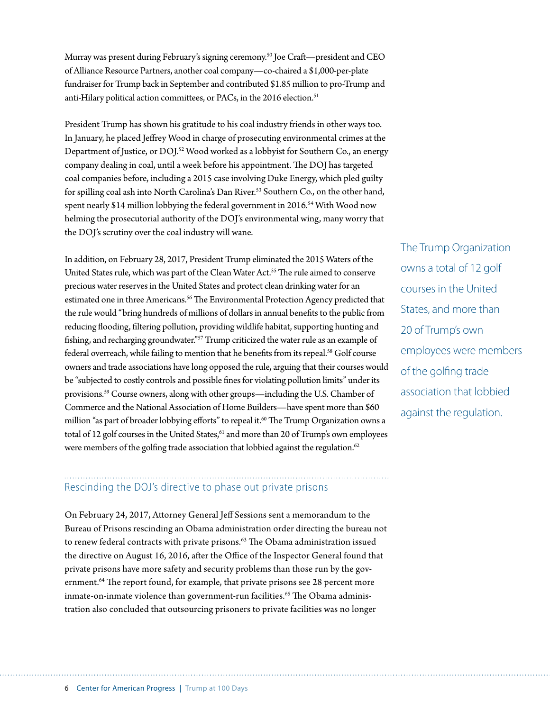Murray was present during February's signing ceremony.50 Joe Craft—president and CEO of Alliance Resource Partners, another coal company—co-chaired a \$1,000-per-plate fundraiser for Trump back in September and contributed \$1.85 million to pro-Trump and anti-Hilary political action committees, or PACs, in the 2016 election.<sup>51</sup>

President Trump has shown his gratitude to his coal industry friends in other ways too. In January, he placed Jeffrey Wood in charge of prosecuting environmental crimes at the Department of Justice, or DOJ.<sup>52</sup> Wood worked as a lobbyist for Southern Co., an energy company dealing in coal, until a week before his appointment. The DOJ has targeted coal companies before, including a 2015 case involving Duke Energy, which pled guilty for spilling coal ash into North Carolina's Dan River.<sup>53</sup> Southern Co., on the other hand, spent nearly \$14 million lobbying the federal government in 2016.<sup>54</sup> With Wood now helming the prosecutorial authority of the DOJ's environmental wing, many worry that the DOJ's scrutiny over the coal industry will wane.

In addition, on February 28, 2017, President Trump eliminated the 2015 Waters of the United States rule, which was part of the Clean Water Act.55 The rule aimed to conserve precious water reserves in the United States and protect clean drinking water for an estimated one in three Americans.<sup>56</sup> The Environmental Protection Agency predicted that the rule would "bring hundreds of millions of dollars in annual benefits to the public from reducing flooding, filtering pollution, providing wildlife habitat, supporting hunting and fishing, and recharging groundwater."<sup>57</sup> Trump criticized the water rule as an example of federal overreach, while failing to mention that he benefits from its repeal.<sup>58</sup> Golf course owners and trade associations have long opposed the rule, arguing that their courses would be "subjected to costly controls and possible fines for violating pollution limits" under its provisions.59 Course owners, along with other groups—including the U.S. Chamber of Commerce and the National Association of Home Builders—have spent more than \$60 million "as part of broader lobbying efforts" to repeal it.<sup>60</sup> The Trump Organization owns a total of 12 golf courses in the United States,<sup>61</sup> and more than 20 of Trump's own employees were members of the golfing trade association that lobbied against the regulation.<sup>62</sup>

The Trump Organization owns a total of 12 golf courses in the United States, and more than 20 of Trump's own employees were members of the golfing trade association that lobbied against the regulation.

#### Rescinding the DOJ's directive to phase out private prisons

On February 24, 2017, Attorney General Jeff Sessions sent a memorandum to the Bureau of Prisons rescinding an Obama administration order directing the bureau not to renew federal contracts with private prisons.<sup>63</sup> The Obama administration issued the directive on August 16, 2016, after the Office of the Inspector General found that private prisons have more safety and security problems than those run by the government.<sup>64</sup> The report found, for example, that private prisons see 28 percent more inmate-on-inmate violence than government-run facilities.<sup>65</sup> The Obama administration also concluded that outsourcing prisoners to private facilities was no longer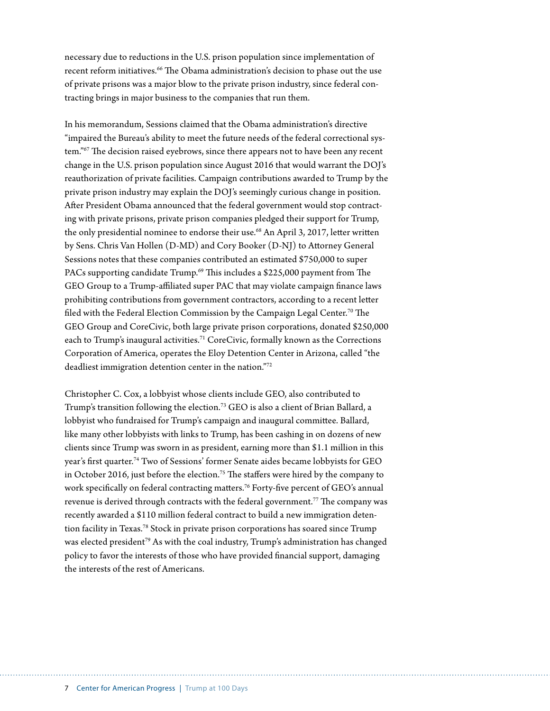necessary due to reductions in the U.S. prison population since implementation of recent reform initiatives.<sup>66</sup> The Obama administration's decision to phase out the use of private prisons was a major blow to the private prison industry, since federal contracting brings in major business to the companies that run them.

In his memorandum, Sessions claimed that the Obama administration's directive "impaired the Bureau's ability to meet the future needs of the federal correctional system."67 The decision raised eyebrows, since there appears not to have been any recent change in the U.S. prison population since August 2016 that would warrant the DOJ's reauthorization of private facilities. Campaign contributions awarded to Trump by the private prison industry may explain the DOJ's seemingly curious change in position. After President Obama announced that the federal government would stop contracting with private prisons, private prison companies pledged their support for Trump, the only presidential nominee to endorse their use.<sup>68</sup> An April 3, 2017, letter written by Sens. Chris Van Hollen (D-MD) and Cory Booker (D-NJ) to Attorney General Sessions notes that these companies contributed an estimated \$750,000 to super PACs supporting candidate Trump.<sup>69</sup> This includes a \$225,000 payment from The GEO Group to a Trump-affiliated super PAC that may violate campaign finance laws prohibiting contributions from government contractors, according to a recent letter filed with the Federal Election Commission by the Campaign Legal Center.<sup>70</sup> The GEO Group and CoreCivic, both large private prison corporations, donated \$250,000 each to Trump's inaugural activities.<sup>71</sup> CoreCivic, formally known as the Corrections Corporation of America, operates the Eloy Detention Center in Arizona, called "the deadliest immigration detention center in the nation."72

Christopher C. Cox, a lobbyist whose clients include GEO, also contributed to Trump's transition following the election.<sup>73</sup> GEO is also a client of Brian Ballard, a lobbyist who fundraised for Trump's campaign and inaugural committee. Ballard, like many other lobbyists with links to Trump, has been cashing in on dozens of new clients since Trump was sworn in as president, earning more than \$1.1 million in this year's first quarter.74 Two of Sessions' former Senate aides became lobbyists for GEO in October 2016, just before the election.<sup>75</sup> The staffers were hired by the company to work specifically on federal contracting matters.<sup>76</sup> Forty-five percent of GEO's annual revenue is derived through contracts with the federal government.<sup>77</sup> The company was recently awarded a \$110 million federal contract to build a new immigration detention facility in Texas.<sup>78</sup> Stock in private prison corporations has soared since Trump was elected president<sup>79</sup> As with the coal industry, Trump's administration has changed policy to favor the interests of those who have provided financial support, damaging the interests of the rest of Americans.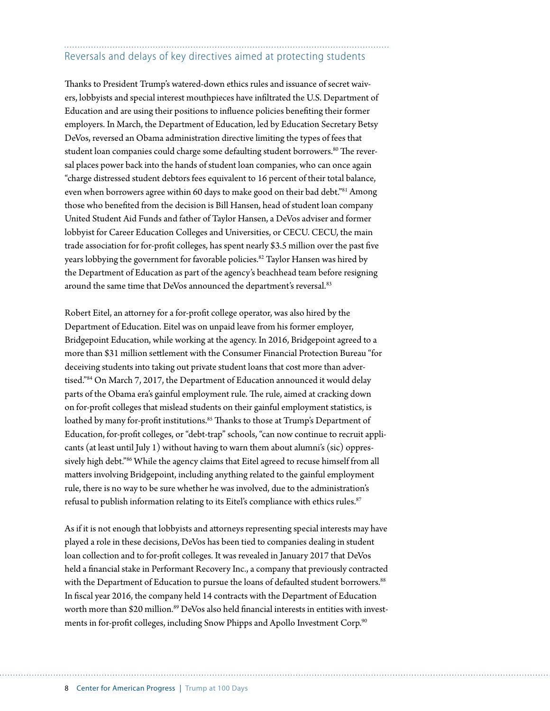## Reversals and delays of key directives aimed at protecting students

Thanks to President Trump's watered-down ethics rules and issuance of secret waivers, lobbyists and special interest mouthpieces have infiltrated the U.S. Department of Education and are using their positions to influence policies benefiting their former employers. In March, the Department of Education, led by Education Secretary Betsy DeVos, reversed an Obama administration directive limiting the types of fees that student loan companies could charge some defaulting student borrowers.<sup>80</sup> The reversal places power back into the hands of student loan companies, who can once again "charge distressed student debtors fees equivalent to 16 percent of their total balance, even when borrowers agree within 60 days to make good on their bad debt."<sup>81</sup> Among those who benefited from the decision is Bill Hansen, head of student loan company United Student Aid Funds and father of Taylor Hansen, a DeVos adviser and former lobbyist for Career Education Colleges and Universities, or CECU. CECU, the main trade association for for-profit colleges, has spent nearly \$3.5 million over the past five years lobbying the government for favorable policies.<sup>82</sup> Taylor Hansen was hired by the Department of Education as part of the agency's beachhead team before resigning around the same time that DeVos announced the department's reversal.<sup>83</sup>

Robert Eitel, an attorney for a for-profit college operator, was also hired by the Department of Education. Eitel was on unpaid leave from his former employer, Bridgepoint Education, while working at the agency. In 2016, Bridgepoint agreed to a more than \$31 million settlement with the Consumer Financial Protection Bureau "for deceiving students into taking out private student loans that cost more than advertised."84 On March 7, 2017, the Department of Education announced it would delay parts of the Obama era's gainful employment rule. The rule, aimed at cracking down on for-profit colleges that mislead students on their gainful employment statistics, is loathed by many for-profit institutions.<sup>85</sup> Thanks to those at Trump's Department of Education, for-profit colleges, or "debt-trap" schools, "can now continue to recruit applicants (at least until July 1) without having to warn them about alumni's (sic) oppressively high debt."86 While the agency claims that Eitel agreed to recuse himself from all matters involving Bridgepoint, including anything related to the gainful employment rule, there is no way to be sure whether he was involved, due to the administration's refusal to publish information relating to its Eitel's compliance with ethics rules.<sup>87</sup>

As if it is not enough that lobbyists and attorneys representing special interests may have played a role in these decisions, DeVos has been tied to companies dealing in student loan collection and to for-profit colleges. It was revealed in January 2017 that DeVos held a financial stake in Performant Recovery Inc., a company that previously contracted with the Department of Education to pursue the loans of defaulted student borrowers.<sup>88</sup> In fiscal year 2016, the company held 14 contracts with the Department of Education worth more than \$20 million.<sup>89</sup> DeVos also held financial interests in entities with investments in for-profit colleges, including Snow Phipps and Apollo Investment Corp.<sup>90</sup>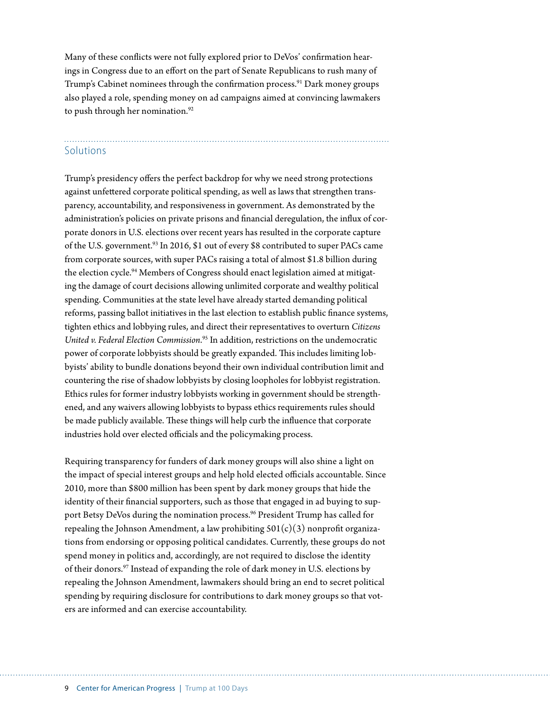Many of these conflicts were not fully explored prior to DeVos' confirmation hearings in Congress due to an effort on the part of Senate Republicans to rush many of Trump's Cabinet nominees through the confirmation process.<sup>91</sup> Dark money groups also played a role, spending money on ad campaigns aimed at convincing lawmakers to push through her nomination.<sup>92</sup>

#### **Solutions**

Trump's presidency offers the perfect backdrop for why we need strong protections against unfettered corporate political spending, as well as laws that strengthen transparency, accountability, and responsiveness in government. As demonstrated by the administration's policies on private prisons and financial deregulation, the influx of corporate donors in U.S. elections over recent years has resulted in the corporate capture of the U.S. government.<sup>93</sup> In 2016, \$1 out of every \$8 contributed to super PACs came from corporate sources, with super PACs raising a total of almost \$1.8 billion during the election cycle.<sup>94</sup> Members of Congress should enact legislation aimed at mitigating the damage of court decisions allowing unlimited corporate and wealthy political spending. Communities at the state level have already started demanding political reforms, passing ballot initiatives in the last election to establish public finance systems, tighten ethics and lobbying rules, and direct their representatives to overturn *Citizens United v. Federal Election Commission*. 95 In addition, restrictions on the undemocratic power of corporate lobbyists should be greatly expanded. This includes limiting lobbyists' ability to bundle donations beyond their own individual contribution limit and countering the rise of shadow lobbyists by closing loopholes for lobbyist registration. Ethics rules for former industry lobbyists working in government should be strengthened, and any waivers allowing lobbyists to bypass ethics requirements rules should be made publicly available. These things will help curb the influence that corporate industries hold over elected officials and the policymaking process.

Requiring transparency for funders of dark money groups will also shine a light on the impact of special interest groups and help hold elected officials accountable. Since 2010, more than \$800 million has been spent by dark money groups that hide the identity of their financial supporters, such as those that engaged in ad buying to support Betsy DeVos during the nomination process.<sup>96</sup> President Trump has called for repealing the Johnson Amendment, a law prohibiting  $501(c)(3)$  nonprofit organizations from endorsing or opposing political candidates. Currently, these groups do not spend money in politics and, accordingly, are not required to disclose the identity of their donors.97 Instead of expanding the role of dark money in U.S. elections by repealing the Johnson Amendment, lawmakers should bring an end to secret political spending by requiring disclosure for contributions to dark money groups so that voters are informed and can exercise accountability.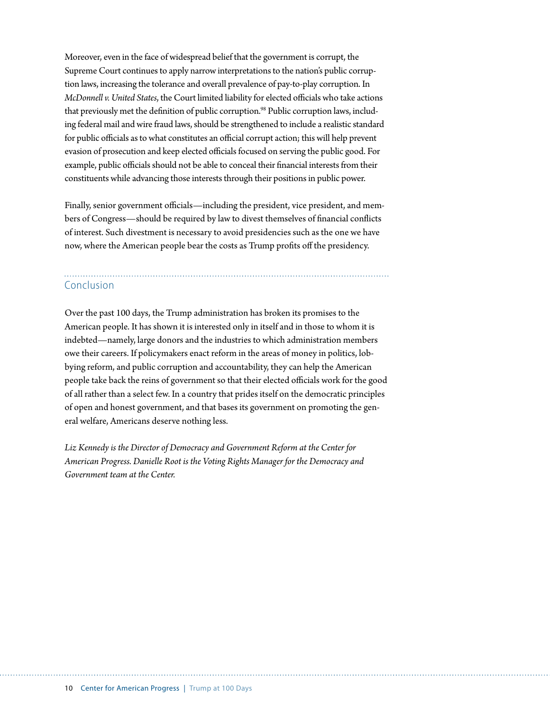Moreover, even in the face of widespread belief that the government is corrupt, the Supreme Court continues to apply narrow interpretations to the nation's public corruption laws, increasing the tolerance and overall prevalence of pay-to-play corruption. In *McDonnell v. United States*, the Court limited liability for elected officials who take actions that previously met the definition of public corruption.<sup>98</sup> Public corruption laws, including federal mail and wire fraud laws, should be strengthened to include a realistic standard for public officials as to what constitutes an official corrupt action; this will help prevent evasion of prosecution and keep elected officials focused on serving the public good. For example, public officials should not be able to conceal their financial interests from their constituents while advancing those interests through their positions in public power.

Finally, senior government officials—including the president, vice president, and members of Congress—should be required by law to divest themselves of financial conflicts of interest. Such divestment is necessary to avoid presidencies such as the one we have now, where the American people bear the costs as Trump profits off the presidency.

# Conclusion

Over the past 100 days, the Trump administration has broken its promises to the American people. It has shown it is interested only in itself and in those to whom it is indebted—namely, large donors and the industries to which administration members owe their careers. If policymakers enact reform in the areas of money in politics, lobbying reform, and public corruption and accountability, they can help the American people take back the reins of government so that their elected officials work for the good of all rather than a select few. In a country that prides itself on the democratic principles of open and honest government, and that bases its government on promoting the general welfare, Americans deserve nothing less.

*Liz Kennedy is the Director of Democracy and Government Reform at the Center for American Progress. Danielle Root is the Voting Rights Manager for the Democracy and Government team at the Center.*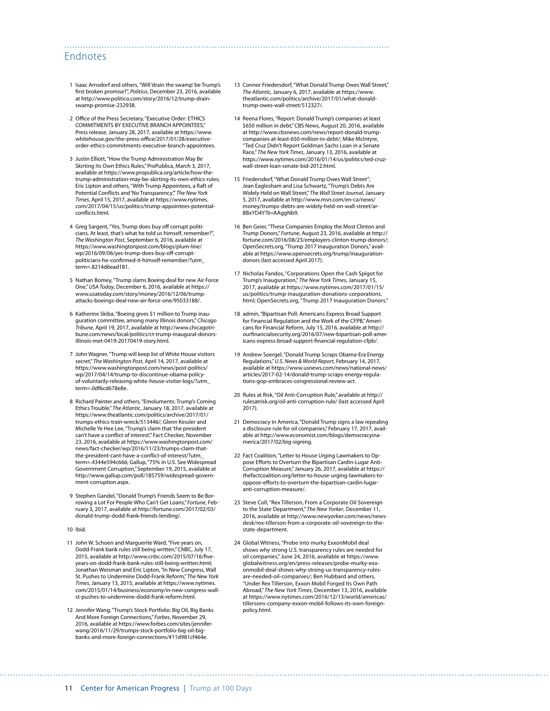#### Endnotes

- 1 Isaac Arnsdorf and others, "Will 'drain the swamp' be Trump's first broken promise?", *Politico*, December 23, 2016, available at [http://www.politico.com/story/2016/12/trump-drain](http://www.politico.com/story/2016/12/trump-drain-swamp-promise-232938)[swamp-promise-232938.](http://www.politico.com/story/2016/12/trump-drain-swamp-promise-232938)
- 2 Office of the Press Secretary, "Executive Order: ETHICS COMMITMENTS BY EXECUTIVE BRANCH APPOINTEES," Press release, January 28, 2017, available at [https://www.](https://www.whitehouse.gov/the-press-office/2017/01/28/executive-order-ethics-commitments-executive-branch-appointees) [whitehouse.gov/the-press-office/2017/01/28/executive](https://www.whitehouse.gov/the-press-office/2017/01/28/executive-order-ethics-commitments-executive-branch-appointees)[order-ethics-commitments-executive-branch-appointees](https://www.whitehouse.gov/the-press-office/2017/01/28/executive-order-ethics-commitments-executive-branch-appointees).
- 3 Justin Elliott, "How the Trump Administration May Be Skirting Its Own Ethics Rules," ProPublica, March 3, 2017, available at [https://www.propublica.org/article/how-the](https://www.propublica.org/article/how-the-trump-administration-may-be-skirting-its-own-ethics-rules)[trump-administration-may-be-skirting-its-own-ethics-rules](https://www.propublica.org/article/how-the-trump-administration-may-be-skirting-its-own-ethics-rules); Eric Lipton and others, "With Trump Appointees, a Raft of Potential Conflicts and 'No Transparency'," *The New York Times*, April 15, 2017, available at [https://www.nytimes.](https://www.nytimes.com/2017/04/15/us/politics/trump-appointees-potential-conflicts.html) [com/2017/04/15/us/politics/trump-appointees-potential](https://www.nytimes.com/2017/04/15/us/politics/trump-appointees-potential-conflicts.html)[conflicts.html.](https://www.nytimes.com/2017/04/15/us/politics/trump-appointees-potential-conflicts.html)
- 4 Greg Sargent, "Yes, Trump does buy off corrupt politicians. At least, that's what he told us himself, remember?", *The Washington Post*, September 6, 2016, available at [https://www.washingtonpost.com/blogs/plum-line/](https://www.washingtonpost.com/blogs/plum-line/wp/2016/09/06/yes-trump-does-buy-off-corrupt-politicians-he-confirmed-it-himself-remember/?utm_term=.8214d6ead181) [wp/2016/09/06/yes-trump-does-buy-off-corrupt](https://www.washingtonpost.com/blogs/plum-line/wp/2016/09/06/yes-trump-does-buy-off-corrupt-politicians-he-confirmed-it-himself-remember/?utm_term=.8214d6ead181)[politicians-he-confirmed-it-himself-remember/?utm\\_](https://www.washingtonpost.com/blogs/plum-line/wp/2016/09/06/yes-trump-does-buy-off-corrupt-politicians-he-confirmed-it-himself-remember/?utm_term=.8214d6ead181) [term=.8214d6ead181.](https://www.washingtonpost.com/blogs/plum-line/wp/2016/09/06/yes-trump-does-buy-off-corrupt-politicians-he-confirmed-it-himself-remember/?utm_term=.8214d6ead181)
- 5 Nathan Bomey, "Trump slams Boeing deal for new Air Force One," *USA Today*, December 6, 2016, available at [https://](https://www.usatoday.com/story/money/2016/12/06/trump-attacks-boeings-deal-new-air-force-one/95033188/) [www.usatoday.com/story/money/2016/12/06/trump](https://www.usatoday.com/story/money/2016/12/06/trump-attacks-boeings-deal-new-air-force-one/95033188/)[attacks-boeings-deal-new-air-force-one/95033188/](https://www.usatoday.com/story/money/2016/12/06/trump-attacks-boeings-deal-new-air-force-one/95033188/).
- 6 Katherine Skiba, "Boeing gives \$1 million to Trump inauguration committee, among many Illinois donors," *Chicago Tribune*, April 19, 2017, available at [http://www.chicagotri](http://www.chicagotribune.com/news/local/politics/ct-trump-inaugural-donors-illinois-met-0419-20170419-story.html)[bune.com/news/local/politics/ct-trump-inaugural-donors](http://www.chicagotribune.com/news/local/politics/ct-trump-inaugural-donors-illinois-met-0419-20170419-story.html)inois-met-0419-20170419-story.html.
- 7 John Wagner, "Trump will keep list of White House visitors secret," *The Washington Post*, April 14, 2017, available at [https://www.washingtonpost.com/news/post-politics/](https://www.washingtonpost.com/news/post-politics/wp/2017/04/14/trump-to-discontinue-obama-policy-of-voluntarily-releasing-white-house-visitor-logs/?utm_term=.0df6cd678e8e) [wp/2017/04/14/trump-to-discontinue-obama-policy](https://www.washingtonpost.com/news/post-politics/wp/2017/04/14/trump-to-discontinue-obama-policy-of-voluntarily-releasing-white-house-visitor-logs/?utm_term=.0df6cd678e8e)[of-voluntarily-releasing-white-house-visitor-logs/?utm\\_](https://www.washingtonpost.com/news/post-politics/wp/2017/04/14/trump-to-discontinue-obama-policy-of-voluntarily-releasing-white-house-visitor-logs/?utm_term=.0df6cd678e8e) [term=.0df6cd678e8e.](https://www.washingtonpost.com/news/post-politics/wp/2017/04/14/trump-to-discontinue-obama-policy-of-voluntarily-releasing-white-house-visitor-logs/?utm_term=.0df6cd678e8e)
- 8 Richard Painter and others, "Emoluments: Trump's Coming Ethics Trouble," *The Atlantic*, January 18, 2017, available at [https://www.theatlantic.com/politics/archive/2017/01/](https://www.theatlantic.com/politics/archive/2017/01/trumps-ethics-train-wreck/513446/) [trumps-ethics-train-wreck/513446/;](https://www.theatlantic.com/politics/archive/2017/01/trumps-ethics-train-wreck/513446/) Glenn Kessler and Michelle Ye Hee Lee, "Trump's claim that 'the president can't have a conflict of interest", Fact Checker, November 23, 2016, available at [https://www.washingtonpost.com/](https://www.washingtonpost.com/news/fact-checker/wp/2016/11/23/trumps-claim-that-the-president-cant-have-a-conflict-of-interest/?utm_term=.4344e594c666) [news/fact-checker/wp/2016/11/23/trumps-claim-that](https://www.washingtonpost.com/news/fact-checker/wp/2016/11/23/trumps-claim-that-the-president-cant-have-a-conflict-of-interest/?utm_term=.4344e594c666)[the-president-cant-have-a-conflict-of-interest/?utm\\_](https://www.washingtonpost.com/news/fact-checker/wp/2016/11/23/trumps-claim-that-the-president-cant-have-a-conflict-of-interest/?utm_term=.4344e594c666) [term=.4344e594c666;](https://www.washingtonpost.com/news/fact-checker/wp/2016/11/23/trumps-claim-that-the-president-cant-have-a-conflict-of-interest/?utm_term=.4344e594c666) Gallup, "75% in U.S. See Widespread Government Corruption," September 19, 2015, available at [http://www.gallup.com/poll/185759/widespread-govern](http://www.gallup.com/poll/185759/widespread-government-corruption.aspx)[ment-corruption.aspx](http://www.gallup.com/poll/185759/widespread-government-corruption.aspx).
- 9 Stephen Gandel, "Donald Trump's Friends Seem to Be Borrowing a Lot For People Who Can't Get Loans," *Fortune*, February 3, 2017, available at [http://fortune.com/2017/02/03/](http://fortune.com/2017/02/03/donald-trump-dodd-frank-friends-lending/) [donald-trump-dodd-frank-friends-lending/](http://fortune.com/2017/02/03/donald-trump-dodd-frank-friends-lending/).
- 10 Ibid.
- 11 John W. Schoen and Marguerite Ward, "Five years on, Dodd-Frank bank rules still being written," CNBC, July 17, 2015, available at [http://www.cnbc.com/2015/07/16/five](http://www.cnbc.com/2015/07/16/five-years-on-dodd-frank-bank-rules-still-being-written.html)[years-on-dodd-frank-bank-rules-still-being-written.html;](http://www.cnbc.com/2015/07/16/five-years-on-dodd-frank-bank-rules-still-being-written.html) Jonathan Weisman and Eric Lipton, "In New Congress, Wall St. Pushes to Undermine Dodd-Frank Reform," *The New York Times*, January 13, 2015, available at [https://www.nytimes.](https://www.nytimes.com/2015/01/14/business/economy/in-new-congress-wall-st-pushes-to-undermine-dodd-frank-reform.html) [com/2015/01/14/business/economy/in-new-congress-wall](https://www.nytimes.com/2015/01/14/business/economy/in-new-congress-wall-st-pushes-to-undermine-dodd-frank-reform.html)[st-pushes-to-undermine-dodd-frank-reform.html.](https://www.nytimes.com/2015/01/14/business/economy/in-new-congress-wall-st-pushes-to-undermine-dodd-frank-reform.html)
- 12 Jennifer Wang, "Trump's Stock Portfolio: Big Oil, Big Banks And More Foreign Connections," *Forbes*, November 29, 2016, available at https://www.forbes.com/sites/jenniferwang/2016/11/29/trumps-stock-portfolio-big-oil-bigbanks-and-more-foreign-connections/#11d981cf464e.

13 Connor Friedersdorf, "What Donald Trump Owes Wall Street," *The Atlantic*, January 6, 2017, available at [https://www.](https://www.theatlantic.com/politics/archive/2017/01/what-donald-trump-owes-wall-street/512327/) [theatlantic.com/politics/archive/2017/01/what-donald](https://www.theatlantic.com/politics/archive/2017/01/what-donald-trump-owes-wall-street/512327/)[trump-owes-wall-street/512327/](https://www.theatlantic.com/politics/archive/2017/01/what-donald-trump-owes-wall-street/512327/).

- 14 Reena Flores, "Report: Donald Trump's companies at least \$650 million in debt," CBS News, August 20, 2016, available at [http://www.cbsnews.com/news/report-donald-trump](http://www.cbsnews.com/news/report-donald-trump-companies-at-least-650-million-in-debt/)[companies-at-least-650-million-in-debt/;](http://www.cbsnews.com/news/report-donald-trump-companies-at-least-650-million-in-debt/) Mike McIntyre, "Ted Cruz Didn't Report Goldman Sachs Loan in a Senate Race," *The New York Times*, January 13, 2016, available at [https://www.nytimes.com/2016/01/14/us/politics/ted-cruz](https://www.nytimes.com/2016/01/14/us/politics/ted-cruz-wall-street-loan-senate-bid-2012.html)[wall-street-loan-senate-bid-2012.html.](https://www.nytimes.com/2016/01/14/us/politics/ted-cruz-wall-street-loan-senate-bid-2012.html)
- 15 Friedersdorf, "What Donald Trump Owes Wall Street"; Jean Eaglesham and Lisa Schwartz, "Trump's Debts Are Widely Held on Wall Street," *The Wall Street Journal*, January 5, 2017, available at [http://www.msn.com/en-ca/news/](http://www.msn.com/en-ca/news/money/trumps-debts-are-widely-held-on-wall-street/ar-BBxYD4Y?li=AAggNb9) [money/trumps-debts-are-widely-held-on-wall-street/ar-](http://www.msn.com/en-ca/news/money/trumps-debts-are-widely-held-on-wall-street/ar-BBxYD4Y?li=AAggNb9)[BBxYD4Y?li=AAggNb9](http://www.msn.com/en-ca/news/money/trumps-debts-are-widely-held-on-wall-street/ar-BBxYD4Y?li=AAggNb9).
- 16 Ben Geier, "These Companies Employ the Most Clinton and Trump Donors," *Fortune*, August 23, 2016, available at [http://](http://fortune.com/2016/08/23/employers-clinton-trump-donors/) [fortune.com/2016/08/23/employers-clinton-trump-donors/](http://fortune.com/2016/08/23/employers-clinton-trump-donors/); OpenSecrets.org, "Trump 2017 Inauguration Donors," available at [https://www.opensecrets.org/trump/inauguration](https://www.opensecrets.org/trump/inauguration-donors)[donors](https://www.opensecrets.org/trump/inauguration-donors) (last accessed April 2017).
- 17 Nicholas Fandos, "Corporations Open the Cash Spigot for Trump's Inauguration," *The New York Times*, January 15, 2017, available at [https://www.nytimes.com/2017/01/15/](https://www.nytimes.com/2017/01/15/us/politics/trump-inauguration-donations-corporations.html) [us/politics/trump-inauguration-donations-corporations.](https://www.nytimes.com/2017/01/15/us/politics/trump-inauguration-donations-corporations.html) [html](https://www.nytimes.com/2017/01/15/us/politics/trump-inauguration-donations-corporations.html); OpenSecrets.org, "Trump 2017 Inauguration Donors."
- 18 admin, "Bipartisan Poll: Americans Express Broad Support for Financial Regulation and the Work of the CFPB," Americans for Financial Reform, July 15, 2016, available at [http://](http://ourfinancialsecurity.org/2016/07/new-bipartisan-poll-americans-express-broad-support-financial-regulation-cfpb/) [ourfinancialsecurity.org/2016/07/new-bipartisan-poll-amer](http://ourfinancialsecurity.org/2016/07/new-bipartisan-poll-americans-express-broad-support-financial-regulation-cfpb/)[icans-express-broad-support-financial-regulation-cfpb/.](http://ourfinancialsecurity.org/2016/07/new-bipartisan-poll-americans-express-broad-support-financial-regulation-cfpb/)
- 19 Andrew Soergel, "Donald Trump Scraps Obama-Era Energy Regulations," *U.S. News & World Report*, February 14, 2017, available at [https://www.usnews.com/news/national-news/](https://www.usnews.com/news/national-news/articles/2017-02-14/donald-trump-scraps-energy-regulations-gop-embraces-congressional-review-act) [articles/2017-02-14/donald-trump-scraps-energy-regula](https://www.usnews.com/news/national-news/articles/2017-02-14/donald-trump-scraps-energy-regulations-gop-embraces-congressional-review-act)[tions-gop-embraces-congressional-review-act](https://www.usnews.com/news/national-news/articles/2017-02-14/donald-trump-scraps-energy-regulations-gop-embraces-congressional-review-act).
- 20 Rules at Risk, "Oil Anti-Corruption Rule," available at [http://](http://rulesatrisk.org/oil-anti-corruption-rule/) [rulesatrisk.org/oil-anti-corruption-rule/](http://rulesatrisk.org/oil-anti-corruption-rule/) (last accessed April 2017).
- 21 Democracy in America, "Donald Trump signs a law repealing a disclosure rule for oil companies," February 17, 2017, available at [http://www.economist.com/blogs/democracyina](http://www.economist.com/blogs/democracyinamerica/2017/02/big-signing)[merica/2017/02/big-signing](http://www.economist.com/blogs/democracyinamerica/2017/02/big-signing).
- 22 Fact Coalition, "Letter to House Urging Lawmakers to Oppose Efforts to Overturn the Bipartisan Cardin-Lugar Anti-Corruption Measure," January 26, 2017, available at [https://](https://thefactcoalition.org/letter-to-house-urging-lawmakers-to-oppose-efforts-to-overturn-the-bipartisan-cardin-lugar-anti-corruption-measure/) [thefactcoalition.org/letter-to-house-urging-lawmakers-to](https://thefactcoalition.org/letter-to-house-urging-lawmakers-to-oppose-efforts-to-overturn-the-bipartisan-cardin-lugar-anti-corruption-measure/)[oppose-efforts-to-overturn-the-bipartisan-cardin-lugar](https://thefactcoalition.org/letter-to-house-urging-lawmakers-to-oppose-efforts-to-overturn-the-bipartisan-cardin-lugar-anti-corruption-measure/)[anti-corruption-measure/](https://thefactcoalition.org/letter-to-house-urging-lawmakers-to-oppose-efforts-to-overturn-the-bipartisan-cardin-lugar-anti-corruption-measure/).
- 23 Steve Coll, "Rex Tillerson, From a Corporate Oil Sovereign to the State Department," *The New Yorker*, December 11, 2016, available at [http://www.newyorker.com/news/news](http://www.newyorker.com/news/news-desk/rex-tillerson-from-a-corporate-oil-sovereign-to-the-state-department)[desk/rex-tillerson-from-a-corporate-oil-sovereign-to-the](http://www.newyorker.com/news/news-desk/rex-tillerson-from-a-corporate-oil-sovereign-to-the-state-department)[state-department](http://www.newyorker.com/news/news-desk/rex-tillerson-from-a-corporate-oil-sovereign-to-the-state-department).
- 24 Global Witness, "Probe into murky ExxonMobil deal shows why strong U.S. transparency rules are needed for oil companies," June 24, 2016, available at [https://www.](https://www.globalwitness.org/en/press-releases/probe-murky-exxonmobil-deal-shows-why-strong-us-transparency-rules-are-needed-oil-companies/) [globalwitness.org/en/press-releases/probe-murky-exx](https://www.globalwitness.org/en/press-releases/probe-murky-exxonmobil-deal-shows-why-strong-us-transparency-rules-are-needed-oil-companies/)[onmobil-deal-shows-why-strong-us-transparency-rules](https://www.globalwitness.org/en/press-releases/probe-murky-exxonmobil-deal-shows-why-strong-us-transparency-rules-are-needed-oil-companies/)[are-needed-oil-companies/](https://www.globalwitness.org/en/press-releases/probe-murky-exxonmobil-deal-shows-why-strong-us-transparency-rules-are-needed-oil-companies/); Ben Hubbard and others, "Under Rex Tillerson, Exxon Mobil Forged Its Own Path Abroad," *The New York Times*, December 13, 2016, available at [https://www.nytimes.com/2016/12/13/world/americas/](https://www.nytimes.com/2016/12/13/world/americas/tillersons-company-exxon-mobil-follows-its-own-foreign-policy.html) [tillersons-company-exxon-mobil-follows-its-own-foreign](https://www.nytimes.com/2016/12/13/world/americas/tillersons-company-exxon-mobil-follows-its-own-foreign-policy.html)[policy.html](https://www.nytimes.com/2016/12/13/world/americas/tillersons-company-exxon-mobil-follows-its-own-foreign-policy.html).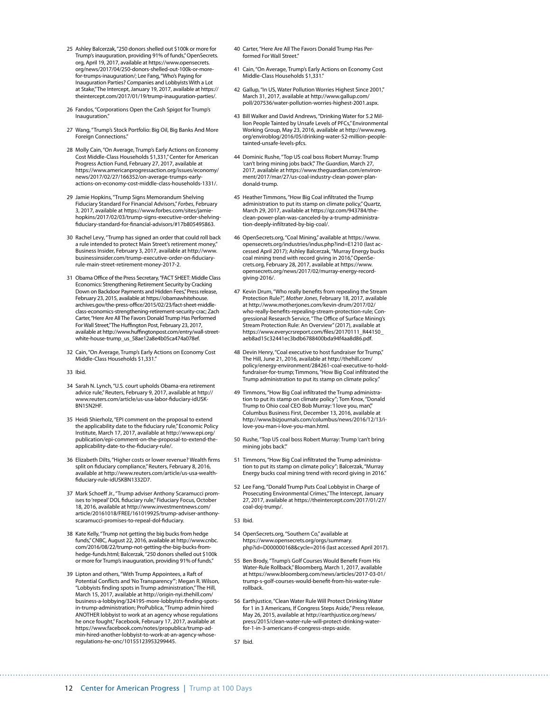- 25 Ashley Balcerzak, "250 donors shelled out \$100k or more for Trump's inauguration, providing 91% of funds," OpenSecrets. org, April 19, 2017, available at [https://www.opensecrets.](https://www.opensecrets.org/news/2017/04/250-donors-shelled-out-100k-or-more-for-trumps-inauguration/) [org/news/2017/04/250-donors-shelled-out-100k-or-more](https://www.opensecrets.org/news/2017/04/250-donors-shelled-out-100k-or-more-for-trumps-inauguration/)[for-trumps-inauguration/;](https://www.opensecrets.org/news/2017/04/250-donors-shelled-out-100k-or-more-for-trumps-inauguration/) Lee Fang, "Who's Paying for Inauguration Parties? Companies and Lobbyists With a Lot at Stake," The Intercept, January 19, 2017, available at [https://](https://theintercept.com/2017/01/19/trump-inauguration-parties/) [theintercept.com/2017/01/19/trump-inauguration-parties/.](https://theintercept.com/2017/01/19/trump-inauguration-parties/)
- 26 Fandos, "Corporations Open the Cash Spigot for Trump's Inauguration.
- 27 Wang, "Trump's Stock Portfolio: Big Oil, Big Banks And More Foreign Connections."
- 28 Molly Cain, "On Average, Trump's Early Actions on Economy Cost Middle-Class Households \$1,331," Center for American Progress Action Fund, February 27, 2017, available at [https://www.americanprogressaction.org/issues/economy/](https://www.americanprogressaction.org/issues/economy/news/2017/02/27/166352/on-average-trumps-early-actions-on-economy-cost-middle-class-households-1331/) [news/2017/02/27/166352/on-average-trumps-early](https://www.americanprogressaction.org/issues/economy/news/2017/02/27/166352/on-average-trumps-early-actions-on-economy-cost-middle-class-households-1331/)[actions-on-economy-cost-middle-class-households-1331/.](https://www.americanprogressaction.org/issues/economy/news/2017/02/27/166352/on-average-trumps-early-actions-on-economy-cost-middle-class-households-1331/)
- 29 Jamie Hopkins, "Trump Signs Memorandum Shelving Fiduciary Standard For Financial Advisors," *Forbes*, February 3, 2017, available at https://www.forbes.com/sites/jamiehopkins/2017/02/03/trump-signs-executive-order-shelvingfiduciary-standard-for-financial-advisors/#17b805495863.
- 30 Rachel Levy, "Trump has signed an order that could roll back a rule intended to protect Main Street's retirement money," Business Insider, February 3, 2017, available at [http://www.](http://www.businessinsider.com/trump-executive-order-on-fiduciary-rule-main-street-retirement-money-2017-2) [businessinsider.com/trump-executive-order-on-fiduciary](http://www.businessinsider.com/trump-executive-order-on-fiduciary-rule-main-street-retirement-money-2017-2)[rule-main-street-retirement-money-2017-2](http://www.businessinsider.com/trump-executive-order-on-fiduciary-rule-main-street-retirement-money-2017-2).
- 31 Obama Office of the Press Secretary, "FACT SHEET: Middle Class Economics: Strengthening Retirement Security by Cracking Down on Backdoor Payments and Hidden Fees," Press release, February 23, 2015, available at [https://obamawhitehouse.](https://obamawhitehouse.archives.gov/the-press-office/2015/02/23/fact-sheet-middle-class-economics-strengthening-retirement-security-crac) [archives.gov/the-press-office/2015/02/23/fact-sheet-middle](https://obamawhitehouse.archives.gov/the-press-office/2015/02/23/fact-sheet-middle-class-economics-strengthening-retirement-security-crac)[class-economics-strengthening-retirement-security-crac;](https://obamawhitehouse.archives.gov/the-press-office/2015/02/23/fact-sheet-middle-class-economics-strengthening-retirement-security-crac) Zach Carter, "Here Are All The Favors Donald Trump Has Performed For Wall Street," The Huffington Post, February 23, 2017, available at [http://www.huffingtonpost.com/entry/wall-street](http://www.huffingtonpost.com/entry/wall-street-white-house-trump_us_58ae12a8e4b05ca474a078ef)[white-house-trump\\_us\\_58ae12a8e4b05ca474a078ef](http://www.huffingtonpost.com/entry/wall-street-white-house-trump_us_58ae12a8e4b05ca474a078ef).
- 32 Cain, "On Average, Trump's Early Actions on Economy Cost Middle-Class Households \$1,331.
- 33 Ibid.
- 34 Sarah N. Lynch, "U.S. court upholds Obama-era retirement advice rule," Reuters, February 9, 2017, available at [http://](http://www.reuters.com/article/us-usa-labor-fiduciary-idUSKBN15N2HF) [www.reuters.com/article/us-usa-labor-fiduciary-idUSK-](http://www.reuters.com/article/us-usa-labor-fiduciary-idUSKBN15N2HF)[BN15N2HF.](http://www.reuters.com/article/us-usa-labor-fiduciary-idUSKBN15N2HF)
- 35 Heidi Shierholz, "EPI comment on the proposal to extend the applicability date to the fiduciary rule," Economic Policy Institute, March 17, 2017, available at [http://www.epi.org/](http://www.epi.org/publication/epi-comment-on-the-proposal-to-extend-the-applicability-date-to-the-fiduciary-rule/) [publication/epi-comment-on-the-proposal-to-extend-the](http://www.epi.org/publication/epi-comment-on-the-proposal-to-extend-the-applicability-date-to-the-fiduciary-rule/)[applicability-date-to-the-fiduciary-rule/.](http://www.epi.org/publication/epi-comment-on-the-proposal-to-extend-the-applicability-date-to-the-fiduciary-rule/)
- 36 Elizabeth Dilts, "Higher costs or lower revenue? Wealth firms split on fiduciary compliance," Reuters, February 8, 2016, available at [http://www.reuters.com/article/us-usa-wealth](http://www.reuters.com/article/us-usa-wealth-fiduciary-rule-idUSKBN1332D7)[fiduciary-rule-idUSKBN1332D7](http://www.reuters.com/article/us-usa-wealth-fiduciary-rule-idUSKBN1332D7).
- 37 Mark Schoeff Jr., "Trump adviser Anthony Scaramucci promises to 'repeal' DOL fiduciary rule," Fiduciary Focus, October 18, 2016, available at [http://www.investmentnews.com/](http://www.investmentnews.com/article/20161018/FREE/161019925/trump-adviser-anthony-scaramucci-promises-to-repeal-dol-fiduciary) [article/20161018/FREE/161019925/trump-adviser-anthony](http://www.investmentnews.com/article/20161018/FREE/161019925/trump-adviser-anthony-scaramucci-promises-to-repeal-dol-fiduciary)[scaramucci-promises-to-repeal-dol-fiduciary.](http://www.investmentnews.com/article/20161018/FREE/161019925/trump-adviser-anthony-scaramucci-promises-to-repeal-dol-fiduciary)
- 38 Kate Kelly, "Trump not getting the big bucks from hedge funds," CNBC, August 22, 2016, available at [http://www.cnbc.](http://www.cnbc.com/2016/08/22/trump-not-getting-the-big-bucks-from-hedge-funds.html) [com/2016/08/22/trump-not-getting-the-big-bucks-from](http://www.cnbc.com/2016/08/22/trump-not-getting-the-big-bucks-from-hedge-funds.html)[hedge-funds.html;](http://www.cnbc.com/2016/08/22/trump-not-getting-the-big-bucks-from-hedge-funds.html) Balcerzak, "250 donors shelled out \$100k or more for Trump's inauguration, providing 91% of funds."
- 39 Lipton and others, "With Trump Appointees, a Raft of Potential Conflicts and 'No Transparency'"; Megan R. Wilson, "Lobbyists finding spots in Trump administration," The Hill, March 15, 2017, available at [http://origin-nyi.thehill.com/](http://origin-nyi.thehill.com/business-a-lobbying/324195-more-lobbyists-finding-spots-in-trump-administration) [business-a-lobbying/324195-more-lobbyists-finding-spots](http://origin-nyi.thehill.com/business-a-lobbying/324195-more-lobbyists-finding-spots-in-trump-administration)[in-trump-administration;](http://origin-nyi.thehill.com/business-a-lobbying/324195-more-lobbyists-finding-spots-in-trump-administration) ProPublica, "Trump admin hired ANOTHER lobbyist to work at an agency whose regulations he once fought," Facebook, February 17, 2017, available at [https://www.facebook.com/notes/propublica/trump-ad](https://www.facebook.com/notes/propublica/trump-admin-hired-another-lobbyist-to-work-at-an-agency-whose-regulations-he-onc/10155123953299445)[min-hired-another-lobbyist-to-work-at-an-agency-whose](https://www.facebook.com/notes/propublica/trump-admin-hired-another-lobbyist-to-work-at-an-agency-whose-regulations-he-onc/10155123953299445)[regulations-he-onc/10155123953299445.](https://www.facebook.com/notes/propublica/trump-admin-hired-another-lobbyist-to-work-at-an-agency-whose-regulations-he-onc/10155123953299445)
- 40 Carter, "Here Are All The Favors Donald Trump Has Performed For Wall Street<sup>\*</sup>
- 41 Cain, "On Average, Trump's Early Actions on Economy Cost Middle-Class Households \$1,331."
- 42 Gallup, "In US, Water Pollution Worries Highest Since 2001," March 31, 2017, available at [http://www.gallup.com/](http://www.gallup.com/poll/207536/water-pollution-worries-highest-2001.aspx) [poll/207536/water-pollution-worries-highest-2001.aspx](http://www.gallup.com/poll/207536/water-pollution-worries-highest-2001.aspx).
- 43 Bill Walker and David Andrews, "Drinking Water for 5.2 Million People Tainted by Unsafe Levels of PFCs," Environmental Working Group, May 23, 2016, available at [http://www.ewg.](http://www.ewg.org/enviroblog/2016/05/drinking-water-52-million-people-tainted-unsafe-levels-pfcs) [org/enviroblog/2016/05/drinking-water-52-million-people](http://www.ewg.org/enviroblog/2016/05/drinking-water-52-million-people-tainted-unsafe-levels-pfcs)[tainted-unsafe-levels-pfcs.](http://www.ewg.org/enviroblog/2016/05/drinking-water-52-million-people-tainted-unsafe-levels-pfcs)
- 44 Dominic Rushe, "Top US coal boss Robert Murray: Trump 'can't bring mining jobs back'," *The Guardian*, March 27, 2017, available at [https://www.theguardian.com/environ](https://www.theguardian.com/environment/2017/mar/27/us-coal-industry-clean-power-plan-donald-trump)[ment/2017/mar/27/us-coal-industry-clean-power-plan](https://www.theguardian.com/environment/2017/mar/27/us-coal-industry-clean-power-plan-donald-trump)[donald-trump](https://www.theguardian.com/environment/2017/mar/27/us-coal-industry-clean-power-plan-donald-trump).
- 45 Heather Timmons, "How Big Coal infiltrated the Trump administration to put its stamp on climate policy," Quartz, March 29, 2017, available at [https://qz.com/943784/the](https://qz.com/943784/the-clean-power-plan-was-canceled-by-a-trump-administration-deeply-infiltrated-by-big-coal/)[clean-power-plan-was-canceled-by-a-trump-administra](https://qz.com/943784/the-clean-power-plan-was-canceled-by-a-trump-administration-deeply-infiltrated-by-big-coal/)[tion-deeply-infiltrated-by-big-coal/](https://qz.com/943784/the-clean-power-plan-was-canceled-by-a-trump-administration-deeply-infiltrated-by-big-coal/).
- 46 OpenSecrets.org, "Coal Mining," available at [https://www.](https://www.opensecrets.org/industries/indus.php?ind=E1210) [opensecrets.org/industries/indus.php?ind=E1210](https://www.opensecrets.org/industries/indus.php?ind=E1210) (last accessed April 2017); Ashley Balcerzak, "Murray Energy bucks coal mining trend with record giving in 2016," OpenSecrets.org, February 28, 2017, available at [https://www.](https://www.opensecrets.org/news/2017/02/murray-energy-record-giving-2016/) [opensecrets.org/news/2017/02/murray-energy-record](https://www.opensecrets.org/news/2017/02/murray-energy-record-giving-2016/)[giving-2016/.](https://www.opensecrets.org/news/2017/02/murray-energy-record-giving-2016/)
- 47 Kevin Drum, "Who really benefits from repealing the Stream Protection Rule?", *Mother Jones*, February 18, 2017, available at [http://www.motherjones.com/kevin-drum/2017/02/](http://www.motherjones.com/kevin-drum/2017/02/who-really-benefits-repealing-stream-protection-rule) [who-really-benefits-repealing-stream-protection-rule](http://www.motherjones.com/kevin-drum/2017/02/who-really-benefits-repealing-stream-protection-rule); Congressional Research Service, "The Office of Surface Mining's Stream Protection Rule: An Overview" (2017), available at [https://www.everycrsreport.com/files/20170111\\_R44150\\_](https://www.everycrsreport.com/files/20170111_R44150_aeb8ad15c32441ec3bdb6788400bda94f4aa8d86.pdf) [aeb8ad15c32441ec3bdb6788400bda94f4aa8d86.pdf](https://www.everycrsreport.com/files/20170111_R44150_aeb8ad15c32441ec3bdb6788400bda94f4aa8d86.pdf).
- 48 Devin Henry, "Coal executive to host fundraiser for Trump," The Hill, June 21, 2016, available at [http://thehill.com/](http://thehill.com/policy/energy-environment/284261-coal-executive-to-hold-fundraiser-for-trump) [policy/energy-environment/284261-coal-executive-to-hold](http://thehill.com/policy/energy-environment/284261-coal-executive-to-hold-fundraiser-for-trump)[fundraiser-for-trump](http://thehill.com/policy/energy-environment/284261-coal-executive-to-hold-fundraiser-for-trump); Timmons, "How Big Coal infiltrated the Trump administration to put its stamp on climate policy."
- 49 Timmons, "How Big Coal infiltrated the Trump administration to put its stamp on climate policy"; Tom Knox, "Donald Trump to Ohio coal CEO Bob Murray: 'I love you, man'," Columbus Business First, December 13, 2016, available at [http://www.bizjournals.com/columbus/news/2016/12/13/i](http://www.bizjournals.com/columbus/news/2016/12/13/i-love-you-man-i-love-you-man.html)[love-you-man-i-love-you-man.html](http://www.bizjournals.com/columbus/news/2016/12/13/i-love-you-man-i-love-you-man.html).
- 50 Rushe, "Top US coal boss Robert Murray: Trump 'can't bring mining jobs back'."
- 51 Timmons, "How Big Coal infiltrated the Trump administration to put its stamp on climate policy"; Balcerzak, "Murray Energy bucks coal mining trend with record giving in 2016."
- 52 Lee Fang, "Donald Trump Puts Coal Lobbyist in Charge of Prosecuting Environmental Crimes," The Intercept, January 27, 2017, available at [https://theintercept.com/2017/01/27/](https://theintercept.com/2017/01/27/coal-doj-trump/) [coal-doj-trump/](https://theintercept.com/2017/01/27/coal-doj-trump/).
- 53 Ibid.
- 54 OpenSecrets.org, "Southern Co," available at [https://www.opensecrets.org/orgs/summary.](https://www.opensecrets.org/orgs/summary.php?id=D000000168&cycle=2016) [php?id=D000000168&cycle=2016](https://www.opensecrets.org/orgs/summary.php?id=D000000168&cycle=2016) (last accessed April 2017).
- 55 Ben Brody, "Trump's Golf Courses Would Benefit From His Water-Rule Rollback," Bloomberg, March 1, 2017, available at [https://www.bloomberg.com/news/articles/2017-03-01/](https://www.bloomberg.com/news/articles/2017-03-01/trump-s-golf-courses-would-benefit-from-his-water-rule-rollback) [trump-s-golf-courses-would-benefit-from-his-water-rule](https://www.bloomberg.com/news/articles/2017-03-01/trump-s-golf-courses-would-benefit-from-his-water-rule-rollback)[rollback.](https://www.bloomberg.com/news/articles/2017-03-01/trump-s-golf-courses-would-benefit-from-his-water-rule-rollback)
- 56 Earthjustice, "Clean Water Rule Will Protect Drinking Water for 1 in 3 Americans, If Congress Steps Aside," Press release, May 26, 2015, available at [http://earthjustice.org/news/](http://earthjustice.org/news/press/2015/clean-water-rule-will-protect-drinking-water-for-1-in-3-americans-if-congress-steps-aside) [press/2015/clean-water-rule-will-protect-drinking-water](http://earthjustice.org/news/press/2015/clean-water-rule-will-protect-drinking-water-for-1-in-3-americans-if-congress-steps-aside)[for-1-in-3-americans-if-congress-steps-aside](http://earthjustice.org/news/press/2015/clean-water-rule-will-protect-drinking-water-for-1-in-3-americans-if-congress-steps-aside).

57 Ibid.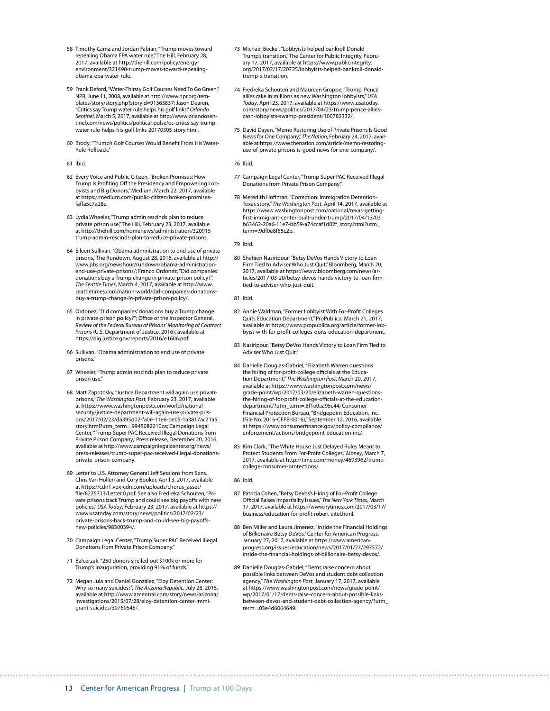- 58 Timothy Cama and Jordan Fabian, "Trump moves toward repealing Obama EPA water rule," The Hill, February 28, 2017, available at [http://thehill.com/policy/energy](http://thehill.com/policy/energy-environment/321490-trump-moves-toward-repealing-obama-epa-water-rule)[environment/321490-trump-moves-toward-repealing](http://thehill.com/policy/energy-environment/321490-trump-moves-toward-repealing-obama-epa-water-rule)[obama-epa-water-rule.](http://thehill.com/policy/energy-environment/321490-trump-moves-toward-repealing-obama-epa-water-rule)
- 59 Frank Deford, "Water-Thirsty Golf Courses Need To Go Green," NPR, June 11, 2008, available at [http://www.npr.org/tem](http://www.npr.org/templates/story/story.php?storyId=91363837)[plates/story/story.php?storyId=91363837;](http://www.npr.org/templates/story/story.php?storyId=91363837) Jason Dearen, "Critics say Trump water rule helps his golf links," *Orlando Sentinel*, March 5, 2017, available at [http://www.orlandosen](http://www.orlandosentinel.com/news/politics/political-pulse/os-critics-say-trump-water-rule-helps-his-golf-links-20170305-story.html)[tinel.com/news/politics/political-pulse/os-critics-say-trump](http://www.orlandosentinel.com/news/politics/political-pulse/os-critics-say-trump-water-rule-helps-his-golf-links-20170305-story.html)[water-rule-helps-his-golf-links-20170305-story.html](http://www.orlandosentinel.com/news/politics/political-pulse/os-critics-say-trump-water-rule-helps-his-golf-links-20170305-story.html).
- 60 Brody, "Trump's Golf Courses Would Benefit From His Water-Rule Rollback."
- 61 Ibid.
- 62 Every Voice and Public Citizen, "Broken Promises: How Trump Is Profiting Off the Presidency and Empowering Lobbyists and Big Donors," Medium, March 22, 2017, available at [https://medium.com/public-citizen/broken-promises](https://medium.com/public-citizen/broken-promises-faffa5c7a28e)[faffa5c7a28e.](https://medium.com/public-citizen/broken-promises-faffa5c7a28e)
- 63 Lydia Wheeler, "Trump admin rescinds plan to reduce private prison use," The Hill, February 23, 2017, available at [http://thehill.com/homenews/administration/320915](http://thehill.com/homenews/administration/320915-trump-admin-rescinds-plan-to-reduce-private-prisons) [trump-admin-rescinds-plan-to-reduce-private-prisons.](http://thehill.com/homenews/administration/320915-trump-admin-rescinds-plan-to-reduce-private-prisons)
- 64 Eileen Sullivan, "Obama administration to end use of private prisons," The Rundown, August 28, 2016, available at [http://](http://www.pbs.org/newshour/rundown/obama-administration-end-use-private-prisons/) [www.pbs.org/newshour/rundown/obama-administration](http://www.pbs.org/newshour/rundown/obama-administration-end-use-private-prisons/)[end-use-private-prisons/](http://www.pbs.org/newshour/rundown/obama-administration-end-use-private-prisons/); Franco Ordonez, "Did companies' donations buy a Trump change in private-prison policy?", *The Seattle Times*, March 4, 2017, available at [http://www.](http://www.seattletimes.com/nation-world/did-companies-donations-buy-a-trump-change-in-private-prison-policy/) [seattletimes.com/nation-world/did-companies-donations](http://www.seattletimes.com/nation-world/did-companies-donations-buy-a-trump-change-in-private-prison-policy/)[buy-a-trump-change-in-private-prison-policy/.](http://www.seattletimes.com/nation-world/did-companies-donations-buy-a-trump-change-in-private-prison-policy/)
- 65 Ordonez, "Did companies' donations buy a Trump change in private-prison policy?"; Office of the Inspector General, *Review of the Federal Bureau of Prisons' Monitoring of Contract Prisons* (U.S. Department of Justice, 2016), available at [https://oig.justice.gov/reports/2016/e1606.pdf.](https://oig.justice.gov/reports/2016/e1606.pdf)
- 66 Sullivan, "Obama administration to end use of private prisons."
- 67 Wheeler, "Trump admin rescinds plan to reduce private prison use."
- 68 Matt Zapotosky, "Justice Department will again use private prisons," *The Washington Post*, February 23, 2017, available at [https://www.washingtonpost.com/world/national](https://www.washingtonpost.com/world/national-security/justice-department-will-again-use-private-prisons/2017/02/23/da395d02-fa0e-11e6-be05-1a3817ac21a5_story.html?utm_term=.9945082010ca)[security/justice-department-will-again-use-private-pris](https://www.washingtonpost.com/world/national-security/justice-department-will-again-use-private-prisons/2017/02/23/da395d02-fa0e-11e6-be05-1a3817ac21a5_story.html?utm_term=.9945082010ca)[ons/2017/02/23/da395d02-fa0e-11e6-be05-1a3817ac21a5\\_](https://www.washingtonpost.com/world/national-security/justice-department-will-again-use-private-prisons/2017/02/23/da395d02-fa0e-11e6-be05-1a3817ac21a5_story.html?utm_term=.9945082010ca) [story.html?utm\\_term=.9945082010ca;](https://www.washingtonpost.com/world/national-security/justice-department-will-again-use-private-prisons/2017/02/23/da395d02-fa0e-11e6-be05-1a3817ac21a5_story.html?utm_term=.9945082010ca) Campaign Legal Center, "Trump Super PAC Received Illegal Donations from Private Prison Company," Press release, December 20, 2016, available at [http://www.campaignlegalcenter.org/news/](http://www.campaignlegalcenter.org/news/press-releases/trump-super-pac-received-illegal-donations-private-prison-company) [press-releases/trump-super-pac-received-illegal-donations](http://www.campaignlegalcenter.org/news/press-releases/trump-super-pac-received-illegal-donations-private-prison-company)[private-prison-company](http://www.campaignlegalcenter.org/news/press-releases/trump-super-pac-received-illegal-donations-private-prison-company).
- 69 Letter to U.S. Attorney General Jeff Sessions from Sens. Chris Van Hollen and Cory Booker, April 3, 2017, available at [https://cdn1.vox-cdn.com/uploads/chorus\\_asset/](https://cdn1.vox-cdn.com/uploads/chorus_asset/file/8275713/Letter.0.pdf) [file/8275713/Letter.0.pdf.](https://cdn1.vox-cdn.com/uploads/chorus_asset/file/8275713/Letter.0.pdf) See also Fredreka Schouten, "Private prisons back Trump and could see big payoffs with new policies," *USA Today*, February 23, 2017, available at [https://](https://www.usatoday.com/story/news/politics/2017/02/23/private-prisons-back-trump-and-could-see-big-payoffs-new-policies/98300394/) [www.usatoday.com/story/news/politics/2017/02/23/](https://www.usatoday.com/story/news/politics/2017/02/23/private-prisons-back-trump-and-could-see-big-payoffs-new-policies/98300394/) [private-prisons-back-trump-and-could-see-big-payoffs](https://www.usatoday.com/story/news/politics/2017/02/23/private-prisons-back-trump-and-could-see-big-payoffs-new-policies/98300394/)[new-policies/98300394/](https://www.usatoday.com/story/news/politics/2017/02/23/private-prisons-back-trump-and-could-see-big-payoffs-new-policies/98300394/).
- 70 Campaign Legal Center, "Trump Super PAC Received Illegal Donations from Private Prison Company."
- 71 Balcerzak, "250 donors shelled out \$100k or more for Trump's inauguration, providing 91% of funds."
- 72 Megan Jula and Daniel González, "Eloy Detention Center: Why so many suicides?", *The Arizona Republic*, July 28, 2015, available at [http://www.azcentral.com/story/news/arizona/](http://www.azcentral.com/story/news/arizona/investigations/2015/07/28/eloy-detention-center-immigrant-suicides/30760545/) [investigations/2015/07/28/eloy-detention-center-immi](http://www.azcentral.com/story/news/arizona/investigations/2015/07/28/eloy-detention-center-immigrant-suicides/30760545/)[grant-suicides/30760545/](http://www.azcentral.com/story/news/arizona/investigations/2015/07/28/eloy-detention-center-immigrant-suicides/30760545/).
- 73 Michael Beckel, "Lobbyists helped bankroll Donald Trump's transition," The Center for Public Integrity, February 17, 2017, available at [https://www.publicintegrity.](https://www.publicintegrity.org/2017/02/17/20725/lobbyists-helped-bankroll-donald-trump-s-transition) [org/2017/02/17/20725/lobbyists-helped-bankroll-donald](https://www.publicintegrity.org/2017/02/17/20725/lobbyists-helped-bankroll-donald-trump-s-transition)[trump-s-transition.](https://www.publicintegrity.org/2017/02/17/20725/lobbyists-helped-bankroll-donald-trump-s-transition)
- 74 Fredreka Schouten and Maureen Groppe, "Trump, Pence allies rake in millions as new Washington lobbyists," *USA Today*, April 23, 2017, available at [https://www.usatoday.](https://www.usatoday.com/story/news/politics/2017/04/23/trump-pence-allies-cash-lobbyists-swamp-president/100782332/) [com/story/news/politics/2017/04/23/trump-pence-allies](https://www.usatoday.com/story/news/politics/2017/04/23/trump-pence-allies-cash-lobbyists-swamp-president/100782332/)[cash-lobbyists-swamp-president/100782332/.](https://www.usatoday.com/story/news/politics/2017/04/23/trump-pence-allies-cash-lobbyists-swamp-president/100782332/)
- 75 David Dayen, "Memo Restoring Use of Private Prisons Is Good News for One Company," *The Nation*, February 24, 2017, available at [https://www.thenation.com/article/memo-restoring](https://www.thenation.com/article/memo-restoring-use-of-private-prisons-is-good-news-for-one-company/)[use-of-private-prisons-is-good-news-for-one-company/](https://www.thenation.com/article/memo-restoring-use-of-private-prisons-is-good-news-for-one-company/).

76 Ibid.

- 77 Campaign Legal Center, "Trump Super PAC Received Illegal Donations from Private Prison Company."
- 78 Meredith Hoffman, "Correction: Immigration Detention-Texas story," *The Washington Post*, April 14, 2017, available at [https://www.washingtonpost.com/national/texas-getting](https://www.washingtonpost.com/national/texas-getting-first-immigrant-center-built-under-trump/2017/04/13/03b63462-20a6-11e7-bb59-a74ccaf1d02f_story.html?utm_term=.9df0e8f55c2b)[first-immigrant-center-built-under-trump/2017/04/13/03](https://www.washingtonpost.com/national/texas-getting-first-immigrant-center-built-under-trump/2017/04/13/03b63462-20a6-11e7-bb59-a74ccaf1d02f_story.html?utm_term=.9df0e8f55c2b) [b63462-20a6-11e7-bb59-a74ccaf1d02f\\_story.html?utm\\_](https://www.washingtonpost.com/national/texas-getting-first-immigrant-center-built-under-trump/2017/04/13/03b63462-20a6-11e7-bb59-a74ccaf1d02f_story.html?utm_term=.9df0e8f55c2b) term=.9df0e8f55c2b

79 Ibid.

80 Shahien Nasiripour, "Betsy DeVos Hands Victory to Loan Firm Tied to Adviser Who Just Quit," Bloomberg, March 20, 2017, available at [https://www.bloomberg.com/news/ar](https://www.bloomberg.com/news/articles/2017-03-20/betsy-devos-hands-victory-to-loan-firm-tied-to-adviser-who-just-quit)[ticles/2017-03-20/betsy-devos-hands-victory-to-loan-firm](https://www.bloomberg.com/news/articles/2017-03-20/betsy-devos-hands-victory-to-loan-firm-tied-to-adviser-who-just-quit)[tied-to-adviser-who-just-quit.](https://www.bloomberg.com/news/articles/2017-03-20/betsy-devos-hands-victory-to-loan-firm-tied-to-adviser-who-just-quit)

81 Ibid.

- 82 Annie Waldman, "Former Lobbyist With For-Profit Colleges Quits Education Department," ProPublica, March 21, 2017, available at [https://www.propublica.org/article/former-lob](https://www.propublica.org/article/former-lobbyist-with-for-profit-colleges-quits-education-department)[byist-with-for-profit-colleges-quits-education-department.](https://www.propublica.org/article/former-lobbyist-with-for-profit-colleges-quits-education-department)
- 83 Nasiripour, "Betsy DeVos Hands Victory to Loan Firm Tied to Adviser Who Just Quit."
- 84 Danielle Douglas-Gabriel, "Elizabeth Warren questions the hiring of for-profit-college officials at the Education Department," *The Washington Post*, March 20, 2017, available at [https://www.washingtonpost.com/news/](https://www.washingtonpost.com/news/grade-point/wp/2017/03/20/elizabeth-warren-questions-the-hiring-of-for-profit-college-officials-at-the-education-department/?utm_term=.8f1e0aa95c44) [grade-point/wp/2017/03/20/elizabeth-warren-questions](https://www.washingtonpost.com/news/grade-point/wp/2017/03/20/elizabeth-warren-questions-the-hiring-of-for-profit-college-officials-at-the-education-department/?utm_term=.8f1e0aa95c44)[the-hiring-of-for-profit-college-officials-at-the-education](https://www.washingtonpost.com/news/grade-point/wp/2017/03/20/elizabeth-warren-questions-the-hiring-of-for-profit-college-officials-at-the-education-department/?utm_term=.8f1e0aa95c44)[department/?utm\\_term=.8f1e0aa95c44](https://www.washingtonpost.com/news/grade-point/wp/2017/03/20/elizabeth-warren-questions-the-hiring-of-for-profit-college-officials-at-the-education-department/?utm_term=.8f1e0aa95c44); Consumer Financial Protection Bureau, "Bridgepoint Education, Inc. (File No. 2016-CFPB-0016)," September 12, 2016, available at [https://www.consumerfinance.gov/policy-compliance/](https://www.consumerfinance.gov/policy-compliance/enforcement/actions/bridgepoint-education-inc/) [enforcement/actions/bridgepoint-education-inc/](https://www.consumerfinance.gov/policy-compliance/enforcement/actions/bridgepoint-education-inc/).
- 85 Kim Clark, "The White House Just Delayed Rules Meant to Protect Students From For-Profit Colleges," *Money*, March 7, 2017, available at [http://time.com/money/4693962/trump](http://time.com/money/4693962/trump-college-consumer-protections/)[college-consumer-protections/.](http://time.com/money/4693962/trump-college-consumer-protections/)

86 Ibid.

- 87 Patricia Cohen, "Betsy DeVos's Hiring of For-Profit College Official Raises Impartiality Issues," *The New York Times*, March 17, 2017, available at [https://www.nytimes.com/2017/03/17/](https://www.nytimes.com/2017/03/17/business/education-for-profit-robert-eitel.html) [business/education-for-profit-robert-eitel.html](https://www.nytimes.com/2017/03/17/business/education-for-profit-robert-eitel.html).
- 88 Ben Miller and Laura Jimenez, "Inside the Financial Holdings of Billionaire Betsy DeVos," Center for American Progress, January 27, 2017, available at [https://www.american](https://www.americanprogress.org/issues/education/news/2017/01/27/297572/inside-the-financial-holdings-of-billionaire-betsy-devos/)[progress.org/issues/education/news/2017/01/27/297572/](https://www.americanprogress.org/issues/education/news/2017/01/27/297572/inside-the-financial-holdings-of-billionaire-betsy-devos/) [inside-the-financial-holdings-of-billionaire-betsy-devos/](https://www.americanprogress.org/issues/education/news/2017/01/27/297572/inside-the-financial-holdings-of-billionaire-betsy-devos/).
- 89 Danielle Douglas-Gabriel, "Dems raise concern about possible links between DeVos and student debt collection agency," *The Washington Post*, January 17, 2017, available at [https://www.washingtonpost.com/news/grade-point/](https://www.washingtonpost.com/news/grade-point/wp/2017/01/17/dems-raise-concern-about-possible-links-between-devos-and-student-debt-collection-agency/?utm_term=.03e4d6064649) [wp/2017/01/17/dems-raise-concern-about-possible-links](https://www.washingtonpost.com/news/grade-point/wp/2017/01/17/dems-raise-concern-about-possible-links-between-devos-and-student-debt-collection-agency/?utm_term=.03e4d6064649)[between-devos-and-student-debt-collection-agency/?utm\\_](https://www.washingtonpost.com/news/grade-point/wp/2017/01/17/dems-raise-concern-about-possible-links-between-devos-and-student-debt-collection-agency/?utm_term=.03e4d6064649) [term=.03e4d6064649.](https://www.washingtonpost.com/news/grade-point/wp/2017/01/17/dems-raise-concern-about-possible-links-between-devos-and-student-debt-collection-agency/?utm_term=.03e4d6064649)